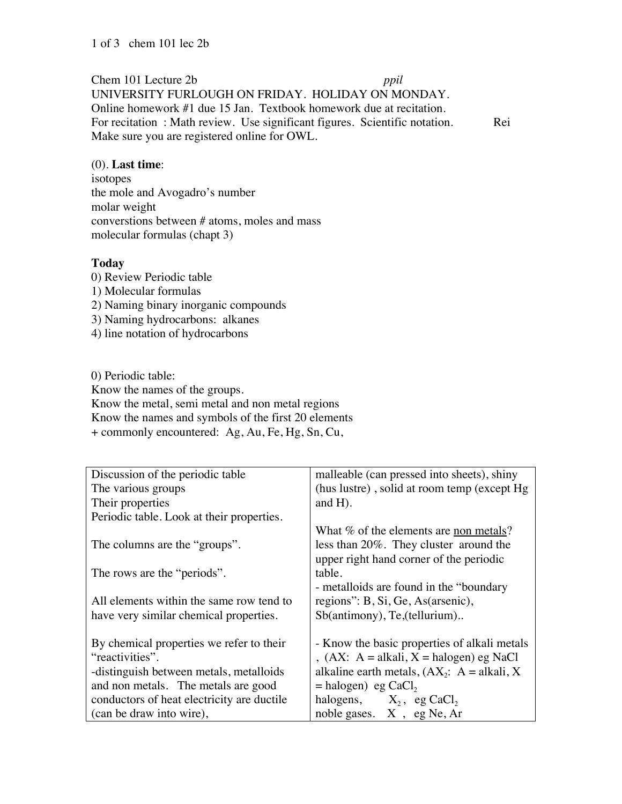Chem 101 Lecture 2b *ppil*

UNIVERSITY FURLOUGH ON FRIDAY. HOLIDAY ON MONDAY. Online homework #1 due 15 Jan. Textbook homework due at recitation. For recitation : Math review. Use significant figures. Scientific notation. Rei Make sure you are registered online for OWL.

## (0). **Last time**:

isotopes the mole and Avogadro's number molar weight converstions between # atoms, moles and mass molecular formulas (chapt 3)

## **Today**

0) Review Periodic table 1) Molecular formulas 2) Naming binary inorganic compounds 3) Naming hydrocarbons: alkanes 4) line notation of hydrocarbons

0) Periodic table:

Know the names of the groups. Know the metal, semi metal and non metal regions Know the names and symbols of the first 20 elements + commonly encountered: Ag, Au, Fe, Hg, Sn, Cu,

| Discussion of the periodic table           | malleable (can pressed into sheets), shiny        |
|--------------------------------------------|---------------------------------------------------|
| The various groups                         | (hus lustre), solid at room temp (except Hg)      |
| Their properties                           | and $H$ ).                                        |
| Periodic table. Look at their properties.  |                                                   |
|                                            | What % of the elements are non metals?            |
| The columns are the "groups".              | less than 20%. They cluster around the            |
|                                            | upper right hand corner of the periodic           |
| The rows are the "periods".                | table.                                            |
|                                            | - metalloids are found in the "boundary"          |
| All elements within the same row tend to   | regions": B, Si, Ge, As(arsenic),                 |
| have very similar chemical properties.     | Sb(antimony), Te,(tellurium)                      |
|                                            |                                                   |
| By chemical properties we refer to their   | - Know the basic properties of alkali metals      |
| "reactivities".                            | , $(AX: A = alkali, X = halogen)$ eg NaCl         |
| -distinguish between metals, metalloids    | alkaline earth metals, $(AX_2$ : $A = alkali, X)$ |
| and non metals. The metals are good        | $=$ halogen) eg CaCl,                             |
| conductors of heat electricity are ductile | halogens, $X_2$ , eg CaCl <sub>2</sub>            |
| (can be draw into wire),                   | noble gases. X, eg Ne, Ar                         |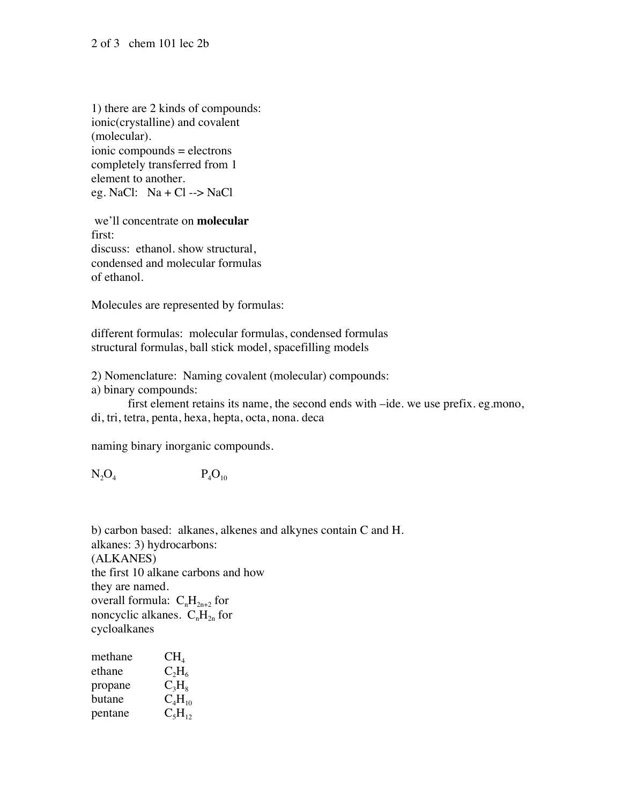1) there are 2 kinds of compounds: ionic(crystalline) and covalent (molecular). ionic compounds = electrons completely transferred from 1 element to another. eg. NaCl:  $Na + Cl \rightarrow NaCl$ 

 we'll concentrate on **molecular**  first: discuss: ethanol. show structural, condensed and molecular formulas of ethanol.

Molecules are represented by formulas:

different formulas: molecular formulas, condensed formulas structural formulas, ball stick model, spacefilling models

2) Nomenclature: Naming covalent (molecular) compounds:

a) binary compounds:

first element retains its name, the second ends with –ide. we use prefix. eg.mono, di, tri, tetra, penta, hexa, hepta, octa, nona. deca

naming binary inorganic compounds.

 $N_2O_4$   $P_4O_{10}$ 

b) carbon based: alkanes, alkenes and alkynes contain C and H. alkanes: 3) hydrocarbons: (ALKANES) the first 10 alkane carbons and how they are named. overall formula:  $C_nH_{2n+2}$  for noncyclic alkanes.  $C_nH_{2n}$  for cycloalkanes

| methane | $CH_4$      |
|---------|-------------|
| ethane  | $C_2H_6$    |
| propane | $C_3H_8$    |
| butane  | $C_4H_{10}$ |
| pentane | $C_5H_{12}$ |